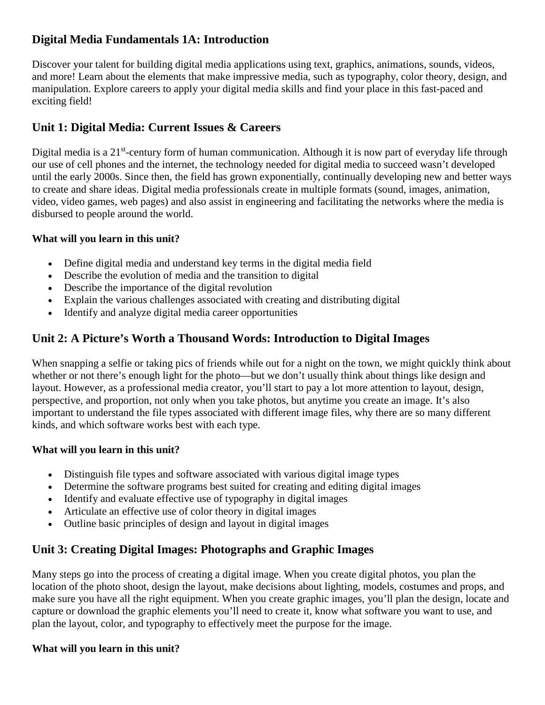## **Digital Media Fundamentals 1A: Introduction**

Discover your talent for building digital media applications using text, graphics, animations, sounds, videos, and more! Learn about the elements that make impressive media, such as typography, color theory, design, and manipulation. Explore careers to apply your digital media skills and find your place in this fast-paced and exciting field!

# **Unit 1: Digital Media: Current Issues & Careers**

Digital media is a 21<sup>st</sup>-century form of human communication. Although it is now part of everyday life through our use of cell phones and the internet, the technology needed for digital media to succeed wasn't developed until the early 2000s. Since then, the field has grown exponentially, continually developing new and better ways to create and share ideas. Digital media professionals create in multiple formats (sound, images, animation, video, video games, web pages) and also assist in engineering and facilitating the networks where the media is disbursed to people around the world.

### **What will you learn in this unit?**

- Define digital media and understand key terms in the digital media field
- Describe the evolution of media and the transition to digital
- Describe the importance of the digital revolution
- Explain the various challenges associated with creating and distributing digital
- Identify and analyze digital media career opportunities

## **Unit 2: A Picture's Worth a Thousand Words: Introduction to Digital Images**

When snapping a selfie or taking pics of friends while out for a night on the town, we might quickly think about whether or not there's enough light for the photo—but we don't usually think about things like design and layout. However, as a professional media creator, you'll start to pay a lot more attention to layout, design, perspective, and proportion, not only when you take photos, but anytime you create an image. It's also important to understand the file types associated with different image files, why there are so many different kinds, and which software works best with each type.

#### **What will you learn in this unit?**

- Distinguish file types and software associated with various digital image types
- Determine the software programs best suited for creating and editing digital images
- Identify and evaluate effective use of typography in digital images
- Articulate an effective use of color theory in digital images
- Outline basic principles of design and layout in digital images

## **Unit 3: Creating Digital Images: Photographs and Graphic Images**

Many steps go into the process of creating a digital image. When you create digital photos, you plan the location of the photo shoot, design the layout, make decisions about lighting, models, costumes and props, and make sure you have all the right equipment. When you create graphic images, you'll plan the design, locate and capture or download the graphic elements you'll need to create it, know what software you want to use, and plan the layout, color, and typography to effectively meet the purpose for the image.

#### **What will you learn in this unit?**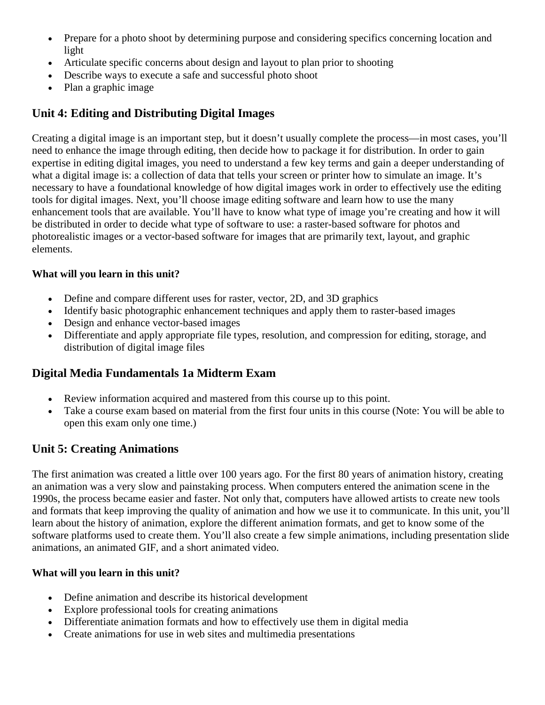- Prepare for a photo shoot by determining purpose and considering specifics concerning location and light
- Articulate specific concerns about design and layout to plan prior to shooting
- Describe ways to execute a safe and successful photo shoot
- Plan a graphic image

## **Unit 4: Editing and Distributing Digital Images**

Creating a digital image is an important step, but it doesn't usually complete the process—in most cases, you'll need to enhance the image through editing, then decide how to package it for distribution. In order to gain expertise in editing digital images, you need to understand a few key terms and gain a deeper understanding of what a digital image is: a collection of data that tells your screen or printer how to simulate an image. It's necessary to have a foundational knowledge of how digital images work in order to effectively use the editing tools for digital images. Next, you'll choose image editing software and learn how to use the many enhancement tools that are available. You'll have to know what type of image you're creating and how it will be distributed in order to decide what type of software to use: a raster-based software for photos and photorealistic images or a vector-based software for images that are primarily text, layout, and graphic elements.

#### **What will you learn in this unit?**

- Define and compare different uses for raster, vector, 2D, and 3D graphics
- Identify basic photographic enhancement techniques and apply them to raster-based images
- Design and enhance vector-based images
- Differentiate and apply appropriate file types, resolution, and compression for editing, storage, and distribution of digital image files

## **Digital Media Fundamentals 1a Midterm Exam**

- Review information acquired and mastered from this course up to this point.
- Take a course exam based on material from the first four units in this course (Note: You will be able to open this exam only one time.)

## **Unit 5: Creating Animations**

The first animation was created a little over 100 years ago. For the first 80 years of animation history, creating an animation was a very slow and painstaking process. When computers entered the animation scene in the 1990s, the process became easier and faster. Not only that, computers have allowed artists to create new tools and formats that keep improving the quality of animation and how we use it to communicate. In this unit, you'll learn about the history of animation, explore the different animation formats, and get to know some of the software platforms used to create them. You'll also create a few simple animations, including presentation slide animations, an animated GIF, and a short animated video.

#### **What will you learn in this unit?**

- Define animation and describe its historical development
- Explore professional tools for creating animations
- Differentiate animation formats and how to effectively use them in digital media
- Create animations for use in web sites and multimedia presentations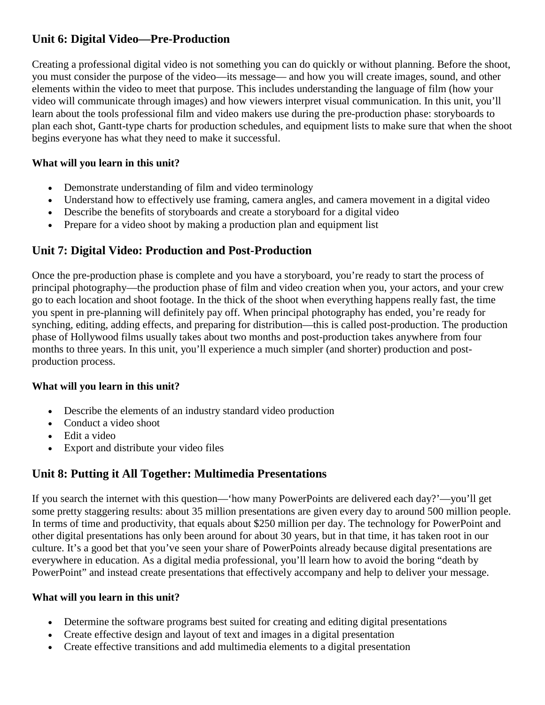# **Unit 6: Digital Video—Pre-Production**

Creating a professional digital video is not something you can do quickly or without planning. Before the shoot, you must consider the purpose of the video—its message— and how you will create images, sound, and other elements within the video to meet that purpose. This includes understanding the language of film (how your video will communicate through images) and how viewers interpret visual communication. In this unit, you'll learn about the tools professional film and video makers use during the pre-production phase: storyboards to plan each shot, Gantt-type charts for production schedules, and equipment lists to make sure that when the shoot begins everyone has what they need to make it successful.

### **What will you learn in this unit?**

- Demonstrate understanding of film and video terminology
- Understand how to effectively use framing, camera angles, and camera movement in a digital video
- Describe the benefits of storyboards and create a storyboard for a digital video
- Prepare for a video shoot by making a production plan and equipment list

# **Unit 7: Digital Video: Production and Post-Production**

Once the pre-production phase is complete and you have a storyboard, you're ready to start the process of principal photography—the production phase of film and video creation when you, your actors, and your crew go to each location and shoot footage. In the thick of the shoot when everything happens really fast, the time you spent in pre-planning will definitely pay off. When principal photography has ended, you're ready for synching, editing, adding effects, and preparing for distribution—this is called post-production. The production phase of Hollywood films usually takes about two months and post-production takes anywhere from four months to three years. In this unit, you'll experience a much simpler (and shorter) production and postproduction process.

### **What will you learn in this unit?**

- Describe the elements of an industry standard video production
- Conduct a video shoot
- Edit a video
- Export and distribute your video files

# **Unit 8: Putting it All Together: Multimedia Presentations**

If you search the internet with this question—'how many PowerPoints are delivered each day?'—you'll get some pretty staggering results: about 35 million presentations are given every day to around 500 million people. In terms of time and productivity, that equals about \$250 million per day. The technology for PowerPoint and other digital presentations has only been around for about 30 years, but in that time, it has taken root in our culture. It's a good bet that you've seen your share of PowerPoints already because digital presentations are everywhere in education. As a digital media professional, you'll learn how to avoid the boring "death by PowerPoint" and instead create presentations that effectively accompany and help to deliver your message.

# **What will you learn in this unit?**

- Determine the software programs best suited for creating and editing digital presentations
- Create effective design and layout of text and images in a digital presentation
- Create effective transitions and add multimedia elements to a digital presentation